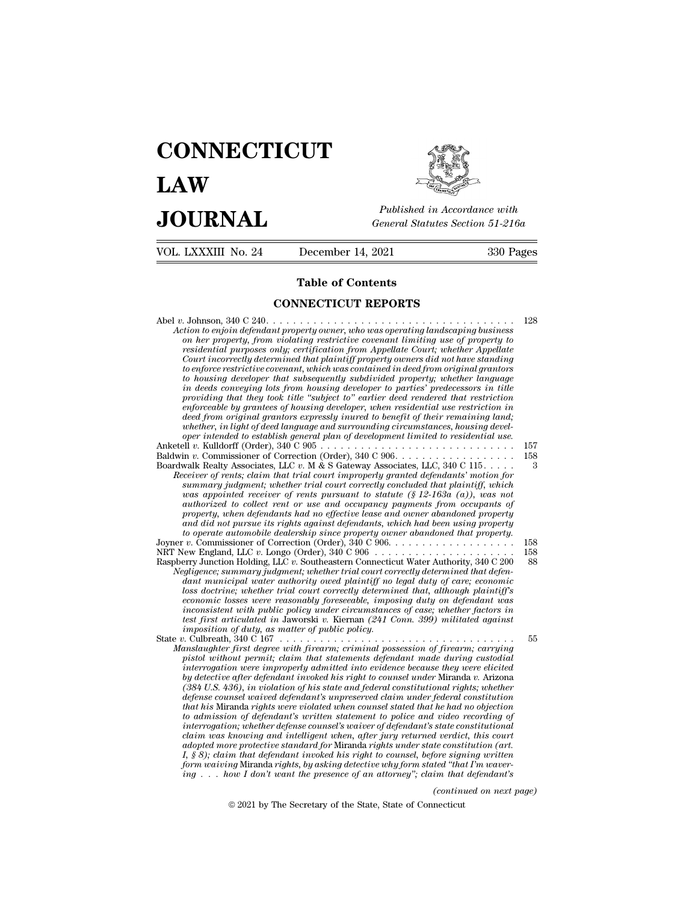# **CONNECTICUT LAW PUBLICE CONNECTICUT**<br> **Published in Accordance with**<br> **JOURNAL** *General Statutes Section 51-216a*<br> **Published in Accordance with**  $\begin{array}{cc}\n\textbf{LAW} & \overbrace{\overbrace{\overbrace{\overline{\textbf{E}}\textbf{W}}\textbf{W}}^{public}} \\
\textbf{JOL RNAL} & \textit{Published in According to the General Statistics Section 51-216a} \\
\hline\n\text{VOL. LXXXIII No. 24} & \text{December 14, 2021} & \text{330 Pages}\n\end{array}$



| <b>JOURNAL</b>      | Published in Accordance with<br>General Statutes Section 51-216a                          |           |
|---------------------|-------------------------------------------------------------------------------------------|-----------|
| VOL. LXXXIII No. 24 | December 14, 2021                                                                         | 330 Pages |
|                     | <b>Table of Contents</b>                                                                  |           |
|                     | <b>CONNECTICUT REPORTS</b>                                                                |           |
|                     | Lotian to mighty defendant prior wise comen who sugges an overting law deceming business. | - 128     |

Abel *<sup>v</sup>*. Johnson, 340 C 240. . . . . . . . . . . . . . . . . . . . . . . . . . . . . . . . . . . . . <sup>128</sup> **Action to engote CONNECTICUT REPORTS**<br>*Action to enjoin defendant property owner, who was operating landscaping business*<br>*on her property, from violating restrictive covenant limiting use of property to conference of Contents*<br>*on also connected connected conference constrained and C 240.<br>
<i>on her property, from violating restrictive covenant limiting use of property to*<br> *on her property, from violating restrictive* **resp. 71 able of Contents<br>
CONNECTICUT REPORTS**<br> *residential purposes only; certification from Appellate Court; whether Appellate*<br> *residential purposes only; certification from Appellate Court; whether Appellate*<br> *Cou* **CONNECTICUT REPORTS**<br> *Court incorrection* of the state of the planning determined that property owners did not have standing business<br>
on her property, from violating restrictive covenant limiting use of property to<br> *re* **configure FICUT REPORTS**<br>*tion to enjoin defendant property owner, who was operating landscaping business*<br>*on her property, from violating restrictive covenant limiting use of property to*<br>*residential purposes only; ce to housing developer that subsequently subdivided property; whether language in deeds conveying lots from housing developer to parties' predecessors in title providing took title ''subjecty' towner, who was operating landscaping business*<br>on her property, from violating restrictive covenant limiting use of property to<br>residential purposes only; certification from Appellate Cou on her property, from violating restrictive covenant limiting use of property to<br>residential pirposes only; certification from Appellate Court; whether Appellate<br>Court incorrectly determined that plaintiff property owners *residential purposes only; certification from Appellate Court; whether Appellate*<br> *Court incorrectly determined that plaintiff property owners did not have standing*<br> *to enforce restrictive covenant, which was contained* Court incorrectly determined that plaintiff property owners and not have standing<br>to enforce restrictive covenant, which was contained in deed from original grantors<br>to housing developer that subsequently subdivided proper *to enforce restrictive covenant, which was contained in deed from original grantors*<br> *to housing developer that subsequently subdivided property; whether language<br>
in deeds conveying lots from housing developer to partie* to housing developer that subsequently subdivided property; whether language<br>in deeds conveying lots from housing developer to parties' predecessors in title<br>providing that they took title "subject to" earlier deed rendere *in deeds conveying lots from housing developer to parties' predecessors in tute*<br>providing that they took title "subject to" earlier deed rendered that restriction in<br>enforcedole by grantees of housing developer, when res providing that they took title "subject to" eartier deed rendered that restriction<br>enforceable by grantees of housing developer, when residential use restriction in<br>deed from original grantors expressly inured to henefit o *Readle by grantees of nousing developer, when residential use restriction in* deed from original grantors expressly inured to benefit of their remaining land; whether, in light of deed language and surrounding circumstanc *deed from original grantors expressly inured to benefit of their remaining land;*<br> *suhether, in light of deed language and surrounding circumstances, housing devel-*<br> *oper intended to establish general plan of developme whether, in light of deed language and surrounding circumstances, housing devel-*<br>oper intended to establish general plan of development limited to residential use.<br>  $\begin{array}{lll} 1 & v. \text{ K.}\end{array}$  Kuldorff (Order), 340 C 906 *authorized to collect rent or use and occupancy payments from occupants of property, when defendants had no effective lease and owner abandoned property and did not pursue its rights against defendants, LLC and C 906.*<br> *and Realty Associates, LLC v. M & S Gateway Associates, LLC, 340 C 115.....*<br> *asummary judgment; whether trial court improperty granted defendants' moti to operate automobile dealership since property granted defendants' notion for*<br> *to ceiver of rents; claim that trial court improperly granted defendants' motion for*<br> *to as appointed receiver of rents pursuant to statu* Receiver of rents; claim that trial court improperty granted defendants motion for<br>summary judgment; whether trial court correctly concluded that plaintiff, which<br>was appointed receiver of rents pursuant to statute (§ 12-1 summary judgment; whether trial court correctly concluded that planntif), which<br>was appointed receiver of rents pursuant to statute (§ 12-163a (a)), was not<br>authorized to collect rent or use and occupancy payments from occ *usa appointed receiver of rents pursuant to statute (§ 12-163a (a)), was not*<br>authorized to collect rent or use and occupancy payments from occupants of<br>property, when defendants had no effective lease and owner abandoned authorized to collect rent or use and occupancy payments from occupants of<br>property, when defendants had no effective lease and owner abandoned property<br>and dia not pursue its rights against defendants, which had been usin *property, when defendants had no effective lease and owner abandoned property*<br>and did not pursue its rights against defendants, which had been using property<br>to operate automobile dealership since property owere abandone and aid not pursue its rights against defendants, which had been using property<br>to operate automobile dealership since property owner abandoned that property.<br> $v$ . Commissioner of Correction (Order), 340 C 906<br> $v$ ......... *economic losses were reasonably foreseeable, imposing duty on defendant was inconsistent with public policy under circumstances of case; whether factors in test* first articulated in Such and *the connection Holding, LLC v.* Southeastern Connecticul Water Authority, 340 C 200<br> *dant municipal water authority wether trial court correctly determined that defen-<br>
<i>dant municipa* First Junction Holding, LLC v. Southeastern Connecticual variancipal varier anthority owed plaintif no<br>*idant municipal vater authority owed plaintiff no*<br>*loss doctrine*; whether trial court correctly determine<br>economic l Negligence; summary judgment; whether trial court correctly determined that defendant municipal water unthority owed plaintiff no legal duty of care; economic loss doctrine; whether trial court correctly determined that, d dant municipal water authority owed plaintiff no legal duty of care; economic<br>loss doctrine; whether trial court correctly determined that, although plaintiff's<br>economic losses were reasonably foreseable, imposing duty on *physonomic losses were reasonably foreseeable, imposing duty on defendant was inconsistent with public policy under circumstances of case; whether factors in test first articulated in Jaworski v. Kiernan (241 Conn. 399) m economic losses were reasonably foreseeable, imposing duty on defendant was<br>inconsistent with public policy under circumstances of case, whether factors in<br>test first articulated in Jaworski v. Kiernan (241 Conn. 399) mil by detective after defendant invoked his right to counsel the first articulated in Jaworski v. Kiernan (241 Conn. 399) militated against imposition of duty, as matter of public policy*  $\sigma$ *. Culbreath, 340 C 167 .......... (384 U.S. 436), in violation of his state and federal constitutional rights; whether defension of duty, as matter of public policy.*<br> *defined waived the first degree with firecarm; criminal possession of firecarm; carrying*<br> *mislaughter first degree with firecarm; criminal possession of firecarm; carryi that his digree with firearm; criminal possession of firearm; carrying*<br> *that history istol without permit were with firearm; criminal possession of firearm; carrying<br>
interrogation were improperly admitted into evidence to and the first degree with firearm; criminal possession of firearm; carrying*<br>pistol without permit; claim that statements defendant made during custodial<br>interrogation were improperly admitted into evidence because the pristol without permit; claim that statements defendant made during custodial<br>interrogation were improperly admitted into evidence because they were elicited<br> $by$  detective after defendant invoked his right to counsel under *charring and interrogation were improperty admitted into evidence because they were elicited* by detective after defendant invoked his right to coursel under Miranda v. Arizona (384 U.S. 436), in violation of his state an *adopted more after defendant invoked his right to counsel under Niranda v. Arizona* (384 U.S. 436), in violation of his state and federal constitutional rights; whether defense counsel waived defendant's universerved clai (384 U.S. 436), in violation of his state and jederal constitutional rights; whether<br>defense counsel waived defendant's unpreserved claim under federal constitution<br>that his Miranda rights were violated when counsel stated *defense counsel waved defendant's unpreserved claim under federal constitution*<br>that his Miranda rights were violated when counsel stated that he had no objection<br>to admission of defendant's written statement to police an *ihat has Miranda rights were violated when counsel stated that he had no objection*<br>to admission of defendant's written statement to police and video recording of<br>interrogation; whether defense counsel's vaiver of defenda *(continued if the continued if verdict, this court te constitution (art.*<br>*(continued on next paging written ided "that I'm waver-im that defendant's*<br>(*continued on next page*) necticut claim was knowing and intelligent when, after jury returned verdict, this court<br>adopted more protective standard for Miranda rights under state constitution (art.<br>I, § 8); claim that defendant invoked his right to counsel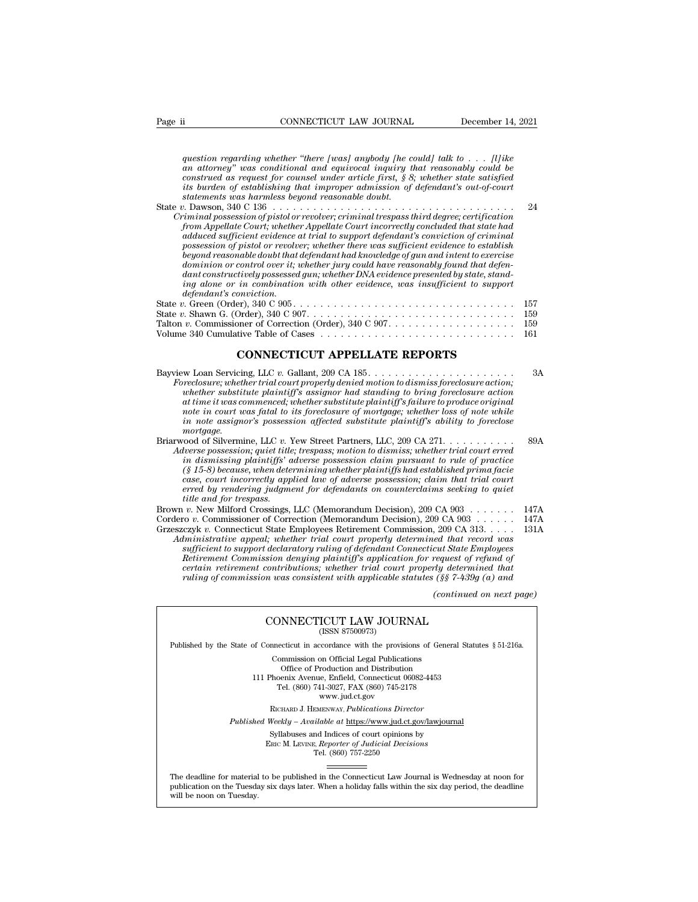*guestion regarding whether ''there [was] anybody [he could] talk to . . . [l]ike*<br>*question regarding whether ''there [was] anybody [he could] talk to . . . [l]ike*<br>*an attorney" was conditional and equivocal inquiry that an attorney conditional and equivocal and equivocal and equivocal and equivocal and equivocal inquiry that that and equivocal inquiry that reasonably could be construed as request for counsel under article first, § 8; whe construct for construct for construct for counsel are determined as requestion regarding whether "there [was] anybody [he could] talk to . . . [l]ike an attorney" was conditional and equivocal inquiry that reasonably coul i i cONNECTICUT LAW JOURNAL <i>increment 14, 2021*<br>*question regarding whether "there [was] anybody [he could] talk to . . . . [l]ike*<br>*an attorney" was conditional and equivocal inquiry that reasonably could be*<br> question regarding whether "there [was] anybody [he connutrivaly was conditional and equivocal inquiry the construed as request for counsel under article first, § 8, its burden of establishing that improper admission of st question regarding whether "there [was] anybody [he could] talk to . . . [l]ike<br>an attorney" was conditional and equivocal inquiry that reasonably could be<br>construed as request for counsel under article first, § 8; whether question regarding whether "there [was] anybody [he could] talk to . . . [I]ike<br>an attorney" was conditional and equivocal inquiry that reasonably could be<br>construed as request for counsel under article first, § 8; whether question regarding whether "there [was] anybody [he could] talk to . . . [I] ike an attorney" was conditional and equivocal inquiry that reasonably could be construed as request for counsel under article first, § 8; whethe an attorney" was conditional and equivocal inquiry that reasonably could be<br>
construed as request for counsel under article first, § 8; whether state satisfied<br>
its burden of establishing that improper admission of defenda

*possession of establishing that improper admission of defendant's out-of-court* is burden of establishing that improper admission of defendant's out-of-court statements was harmless beyond reasonable doubt.<br> *p*. Dawson, *beyond reasonable doubt that defendant had knowledge of gun and intent to exercise dominion or control over it; whether jury could have reasonably found that defendantif* and  $\alpha$  danks are determined the minimal possession of pistol or revolver; criminal trespass third degree; certification from Appellate Court incorrectly concluded that state had adduced sufficient evidence at tr *inmall possession of pistol or revolver; criminal trespass third degree; certification*<br>from Appellate Court; whether Appellate Court incorrectly concluded that state had<br>adduced sufficient evidence at trial to support de *from Appellate Court; whethe*<br>adduced sufficient evidence<br>possession of pistol or revolve<br>beyond reasonable doubt that<br>dominion or control over it; i<br>dant constructively possessed<br>ing alone or in combination<br>. Green (Orde adauced sufficient evidence at trial to support aefendant s conviction of criminal<br>possession of pistol or revolver; whether there was sufficient evidence to establish<br>beyond reasonable doubt that defendant had knowledge o possession of pistot or revolver; whether there was sufficient evidence to establish<br>beyond reasonable doubt that defendant had knowledge of gun and intent to exercise<br>dominion or control over it, whether jury could have r beyona reasonable about that algehaant had knowledge of gun and intent to exercise<br>dominion or control over it; whether jury could have reasonably found that defen-<br>dant constructively possessed gun; whether DNA evidence p Momentative of Control over u; whether yary could nave reasonably jound that degendant<br>dant constructively possessed gun; whether DNA evidence presented by state, stand-<br>ing alone or in combination with other evidence, was

| Talton v. Commissioner of Correction (Order), $340 \text{ C } 907 \ldots \ldots \ldots \ldots \ldots \ldots \ldots \ldots \quad 159$ |  |  |
|--------------------------------------------------------------------------------------------------------------------------------------|--|--|
|                                                                                                                                      |  |  |
| <b>CONNECTICUT APPELLATE REPORTS</b>                                                                                                 |  |  |
|                                                                                                                                      |  |  |

|                                                                                                                                                                                                                                                                                                                                                                                                                                                                                                                                                                                                                                                                                            | -199<br>159<br>161   |
|--------------------------------------------------------------------------------------------------------------------------------------------------------------------------------------------------------------------------------------------------------------------------------------------------------------------------------------------------------------------------------------------------------------------------------------------------------------------------------------------------------------------------------------------------------------------------------------------------------------------------------------------------------------------------------------------|----------------------|
| <b>CONNECTICUT APPELLATE REPORTS</b>                                                                                                                                                                                                                                                                                                                                                                                                                                                                                                                                                                                                                                                       |                      |
| Bayview Loan Servicing, LLC v. Gallant, 209 CA $185. \ldots \ldots \ldots \ldots \ldots \ldots \ldots$<br>Foreclosure, whether trial court properly denied motion to dismiss foreclosure action;<br>whether substitute plaintiffs assignor had standing to bring foreclosure action<br>at time it was commenced; whether substitute plaintiff's failure to produce original<br>note in court was fatal to its foreclosure of mortgage; whether loss of note while<br>in note assignor's possession affected substitute plaintiff's ability to foreclose<br>mortgage.                                                                                                                       | 3A                   |
| Briarwood of Silvermine, LLC v. Yew Street Partners, LLC, 209 CA 271.<br>Adverse possession; quiet title; trespass; motion to dismiss; whether trial court erred<br>in dismissing plaintiffs' adverse possession claim pursuant to rule of practice<br>$(\S 15-8)$ because, when determining whether plaintiffs had established prima facie<br>case, court incorrectly applied law of adverse possession; claim that trial court<br>erred by rendering judgment for defendants on counterclaims seeking to quiet<br><i>title and for trespass.</i>                                                                                                                                         | 89A                  |
| Brown v. New Milford Crossings, LLC (Memorandum Decision), 209 CA $903 \ldots \ldots$<br>Cordero v. Commissioner of Correction (Memorandum Decision), 209 CA 903<br>Grzeszczyk v. Connecticut State Employees Retirement Commission, 209 CA 313.<br>Administrative appeal; whether trial court properly determined that record was<br>sufficient to support declaratory ruling of defendant Connecticut State Employees<br>Retirement Commission denying plaintiff's application for request of refund of<br>certain retirement contributions; whether trial court properly determined that<br>ruling of commission was consistent with applicable statutes $(\frac{8}{5})$ 7-439q (a) and | 147A<br>147A<br>131A |
| (continued on next page)                                                                                                                                                                                                                                                                                                                                                                                                                                                                                                                                                                                                                                                                   |                      |
| CONNECTICUT LAW JOURNAL<br>(ISSN 87500973)                                                                                                                                                                                                                                                                                                                                                                                                                                                                                                                                                                                                                                                 |                      |
| Published by the State of Connecticut in accordance with the provisions of General Statutes § 51-216a.                                                                                                                                                                                                                                                                                                                                                                                                                                                                                                                                                                                     |                      |

## CONNECTICUT LAW JOURNAL

Published by the State of Connecticut in accordance with the provisions of General Statutes § 51-216a.

CONNECTICUT LAW JOURNAL<br>
(ISSN 87500973)<br>
inecticut in accordance with the provisions of Gener<br>
Commission on Official Legal Publications<br>
Office of Production and Distribution<br>
office of Production and Distribution **NNECTICUT LAW JOURNAL**<br>
(ISSN 87500973)<br>
cticut in accordance with the provisions of Gener<br>
mmission on Official Legal Publications<br>
Office of Production and Distribution<br>
centra Avenue, Enfield, Connecticut 06082-4453<br>
b CONNECTICUT LAW JOURNAL<br>
(ISSN 87500973)<br>
of Connecticut in accordance with the provisions of General Statu<br>
Commission on Official Legal Publications<br>
Office of Production and Distribution<br>
111 Phoenix Avenue, Enfield, Co (ISSN 87500973)<br>ecticut in accordance with the provisions of Gener<br>ommission on Official Legal Publications<br>Office of Production and Distribution<br>oenix Avenue, Enfield, Connecticut 06082-4453<br>Tel. (860) 741-3027, FAX (860 reordance with the provision<br>on Official Legal Publication<br>roduction and Distribution<br>e, Enfield, Connecticut 06<br>11-3027, FAX (860) 745-21'<br>www.jud.ct.gov<br>zENWAY, *Publications Dire* Rommission on Official Legal Publications<br>
Office of Production and Distribution<br>
Phoenix Avenue, Enfield, Connecticut 06082-4453<br>
Tel. (860) 741-3027, FAX (860) 745-2178<br>
www.jud.ct.gov<br>
RICHARD J. HEMENWAY, *Publications* Office of Production and Distribution<br>
111 Phoenix Avenue, Enfield, Connecticut 06082-4453<br>
Tel. (860) 741-3027, FAX (860) 745-2178<br>
www.jud.ct.gov<br>
RICHARD J. HEMENWAY, *Publications Director*<br> *Published Weekly – Availab* Phoenix Avenue, Enfield, Connecticut 06082-4453<br>
Tel. (860) 741-3027, FAX (860) 745-2178<br>
www.jud.ct.gov<br>
RICHARD J. HEMENWAY, *Publications Director*<br>
Weekly – Available at <u>https://www.jud.ct.gov/lawjourna</u><br>
Syllabuses a

Tel. (860) 757-2250

Published Weekly – Available at https://www.jud.ct.gov/lawjournal<br>Syllabuses and Indices of court opinions by<br>ERIC M. LEVINE, Reporter of Judicial Decisions<br>The deadline for material to be published in the Connecticut Law  $\begin{tabular}{l} \bf Syllabuses\ and\ Indices\ of\ court\ opinions\ by\\ \bf Enc\ M.\ LevINE,\ \textit{Reporter of\ Judicial\ Decisions}\\ \bf Tel.\ (860)\ 757-2250\\ \end{tabular}$  <br> The deadline for material to be published in the Connecticut Law Journal is Wednesday at noon for publication on the Tuesday six days later The deadline for material<br>publication on the Tuesday.<br>will be noon on Tuesday.